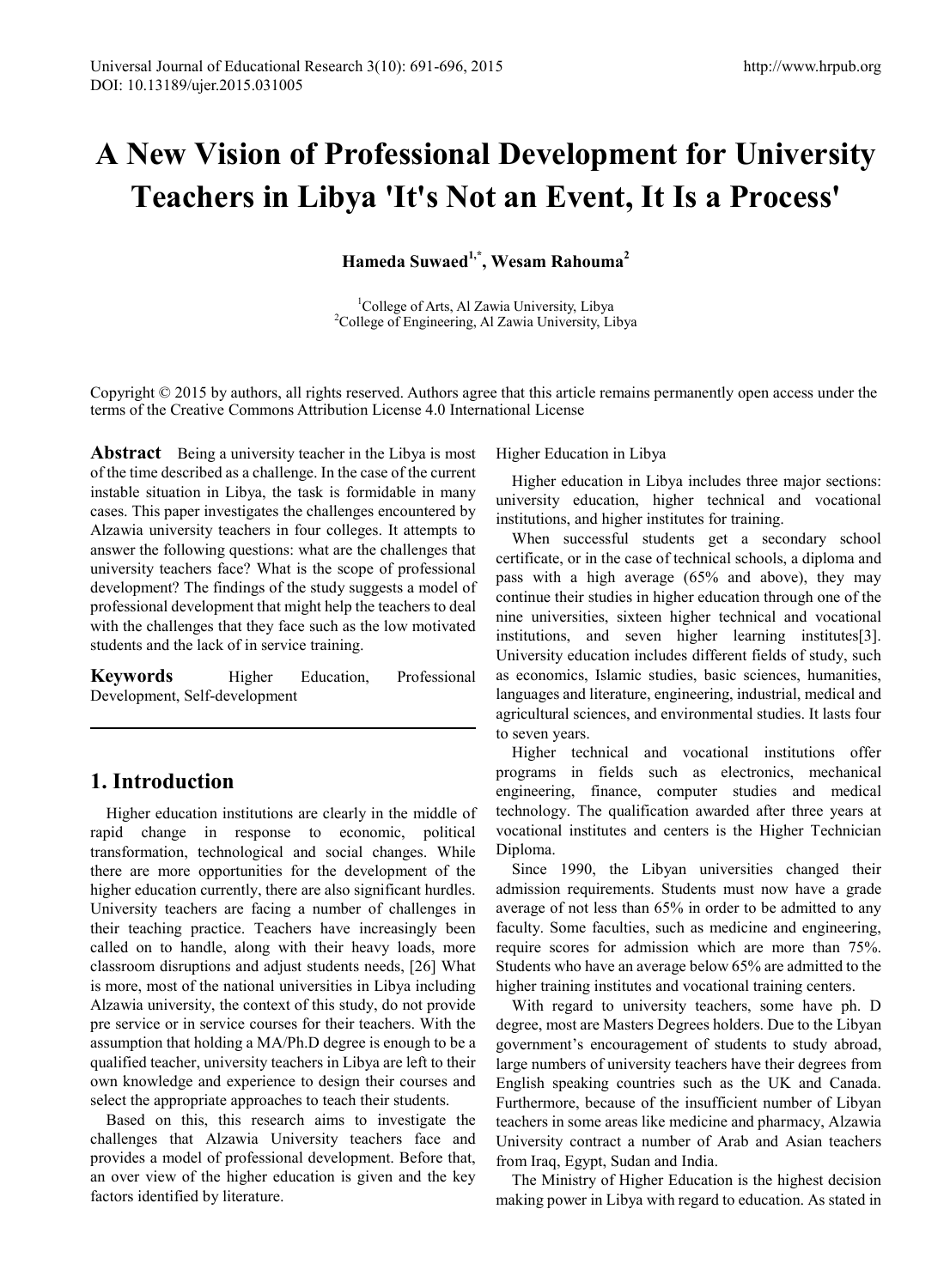# **A New Vision of Professional Development for University Teachers in Libya 'It's Not an Event, It Is a Process'**

**Hameda Suwaed1,\*, Wesam Rahouma2**

<sup>1</sup>College of Arts, Al Zawia University, Libya<sup>2</sup>College of Engineering, Al Zawia University, L <sup>2</sup>College of Engineering, Al Zawia University, Libya

Copyright © 2015 by authors, all rights reserved. Authors agree that this article remains permanently open access under the terms of the Creative Commons Attribution License 4.0 International License

**Abstract** Being a university teacher in the Libya is most of the time described as a challenge. In the case of the current instable situation in Libya, the task is formidable in many cases. This paper investigates the challenges encountered by Alzawia university teachers in four colleges. It attempts to answer the following questions: what are the challenges that university teachers face? What is the scope of professional development? The findings of the study suggests a model of professional development that might help the teachers to deal with the challenges that they face such as the low motivated students and the lack of in service training.

**Keywords** Higher Education, Professional Development, Self-development

# **1. Introduction**

Higher education institutions are clearly in the middle of rapid change in response to economic, political transformation, technological and social changes. While there are more opportunities for the development of the higher education currently, there are also significant hurdles. University teachers are facing a number of challenges in their teaching practice. Teachers have increasingly been called on to handle, along with their heavy loads, more classroom disruptions and adjust students needs, [26] What is more, most of the national universities in Libya including Alzawia university, the context of this study, do not provide pre service or in service courses for their teachers. With the assumption that holding a MA/Ph.D degree is enough to be a qualified teacher, university teachers in Libya are left to their own knowledge and experience to design their courses and select the appropriate approaches to teach their students.

Based on this, this research aims to investigate the challenges that Alzawia University teachers face and provides a model of professional development. Before that, an over view of the higher education is given and the key factors identified by literature.

Higher Education in Libya

Higher education in Libya includes three major sections: university education, higher technical and vocational institutions, and higher institutes for training.

When successful students get a secondary school certificate, or in the case of technical schools, a diploma and pass with a high average (65% and above), they may continue their studies in higher education through one of the nine universities, sixteen higher technical and vocational institutions, and seven higher learning institutes[3]. University education includes different fields of study, such as economics, Islamic studies, basic sciences, humanities, languages and literature, engineering, industrial, medical and agricultural sciences, and environmental studies. It lasts four to seven years.

Higher technical and vocational institutions offer programs in fields such as electronics, mechanical engineering, finance, computer studies and medical technology. The qualification awarded after three years at vocational institutes and centers is the Higher Technician Diploma.

Since 1990, the Libyan universities changed their admission requirements. Students must now have a grade average of not less than 65% in order to be admitted to any faculty. Some faculties, such as medicine and engineering, require scores for admission which are more than 75%. Students who have an average below 65% are admitted to the higher training institutes and vocational training centers.

With regard to university teachers, some have ph. D degree, most are Masters Degrees holders. Due to the Libyan government's encouragement of students to study abroad, large numbers of university teachers have their degrees from English speaking countries such as the UK and Canada. Furthermore, because of the insufficient number of Libyan teachers in some areas like medicine and pharmacy, Alzawia University contract a number of Arab and Asian teachers from Iraq, Egypt, Sudan and India.

The Ministry of Higher Education is the highest decision making power in Libya with regard to education. As stated in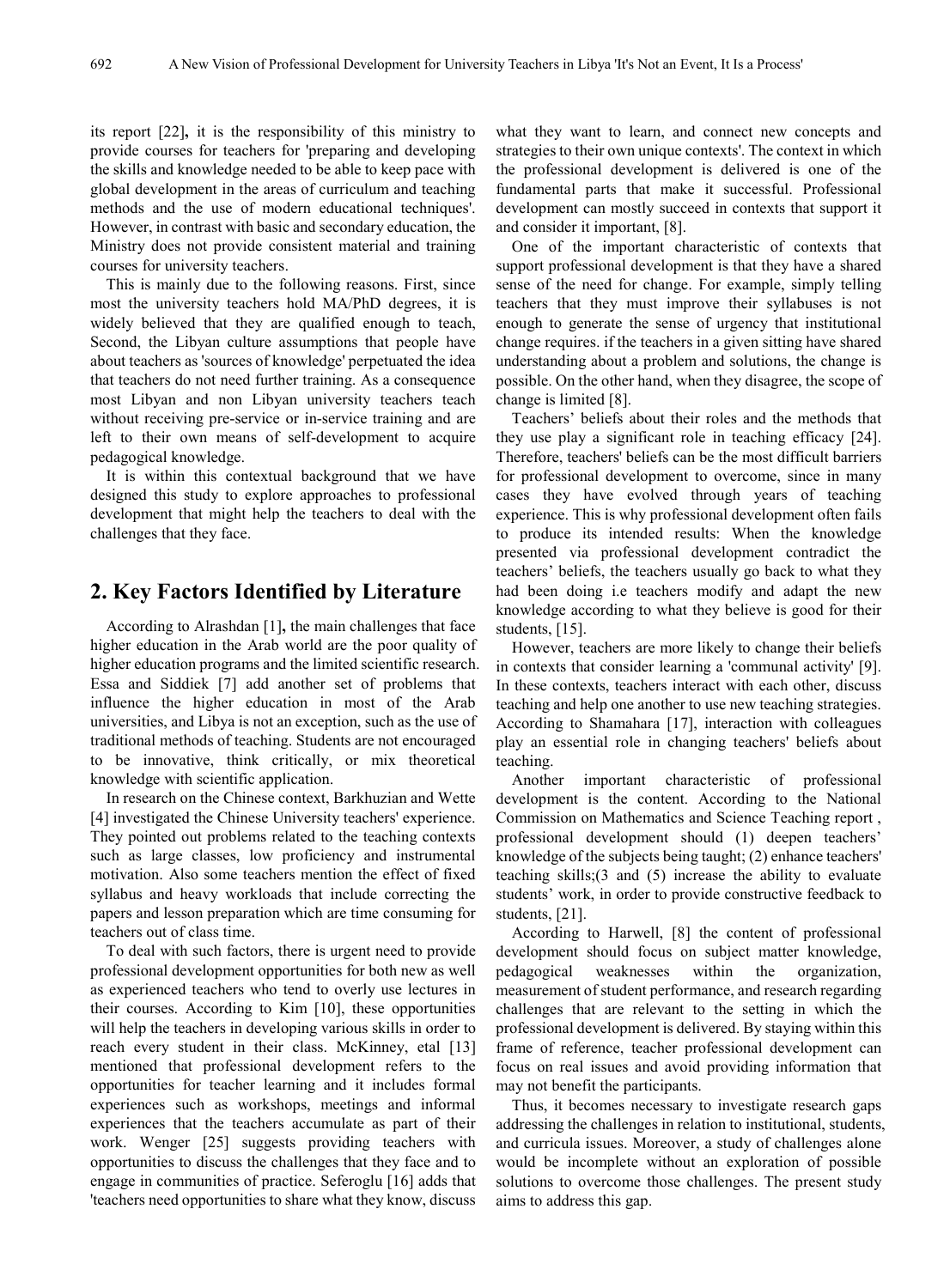its report [22]**,** it is the responsibility of this ministry to provide courses for teachers for 'preparing and developing the skills and knowledge needed to be able to keep pace with global development in the areas of curriculum and teaching methods and the use of modern educational techniques'. However, in contrast with basic and secondary education, the Ministry does not provide consistent material and training courses for university teachers.

This is mainly due to the following reasons. First, since most the university teachers hold MA/PhD degrees, it is widely believed that they are qualified enough to teach, Second, the Libyan culture assumptions that people have about teachers as 'sources of knowledge' perpetuated the idea that teachers do not need further training. As a consequence most Libyan and non Libyan university teachers teach without receiving pre-service or in-service training and are left to their own means of self-development to acquire pedagogical knowledge.

It is within this contextual background that we have designed this study to explore approaches to professional development that might help the teachers to deal with the challenges that they face.

## **2. Key Factors Identified by Literature**

According to Alrashdan [1]**,** the main challenges that face higher education in the Arab world are the poor quality of higher education programs and the limited scientific research. Essa and Siddiek [7] add another set of problems that influence the higher education in most of the Arab universities, and Libya is not an exception, such as the use of traditional methods of teaching. Students are not encouraged to be innovative, think critically, or mix theoretical knowledge with scientific application.

In research on the Chinese context, Barkhuzian and Wette [4] investigated the Chinese University teachers' experience. They pointed out problems related to the teaching contexts such as large classes, low proficiency and instrumental motivation. Also some teachers mention the effect of fixed syllabus and heavy workloads that include correcting the papers and lesson preparation which are time consuming for teachers out of class time.

To deal with such factors, there is urgent need to provide professional development opportunities for both new as well as experienced teachers who tend to overly use lectures in their courses. According to Kim [10], these opportunities will help the teachers in developing various skills in order to reach every student in their class. McKinney, etal [13] mentioned that professional development refers to the opportunities for teacher learning and it includes formal experiences such as workshops, meetings and informal experiences that the teachers accumulate as part of their work. Wenger [25] suggests providing teachers with opportunities to discuss the challenges that they face and to engage in communities of practice. Seferoglu [16] adds that 'teachers need opportunities to share what they know, discuss

what they want to learn, and connect new concepts and strategies to their own unique contexts'. The context in which the professional development is delivered is one of the fundamental parts that make it successful. Professional development can mostly succeed in contexts that support it and consider it important, [8].

One of the important characteristic of contexts that support professional development is that they have a shared sense of the need for change. For example, simply telling teachers that they must improve their syllabuses is not enough to generate the sense of urgency that institutional change requires. if the teachers in a given sitting have shared understanding about a problem and solutions, the change is possible. On the other hand, when they disagree, the scope of change is limited [8].

Teachers' beliefs about their roles and the methods that they use play a significant role in teaching efficacy [24]. Therefore, teachers' beliefs can be the most difficult barriers for professional development to overcome, since in many cases they have evolved through years of teaching experience. This is why professional development often fails to produce its intended results: When the knowledge presented via professional development contradict the teachers' beliefs, the teachers usually go back to what they had been doing i.e teachers modify and adapt the new knowledge according to what they believe is good for their students, [15].

However, teachers are more likely to change their beliefs in contexts that consider learning a 'communal activity' [9]. In these contexts, teachers interact with each other, discuss teaching and help one another to use new teaching strategies. According to Shamahara [17], interaction with colleagues play an essential role in changing teachers' beliefs about teaching.

Another important characteristic of professional development is the content. According to the National Commission on Mathematics and Science Teaching report , professional development should (1) deepen teachers' knowledge of the subjects being taught; (2) enhance teachers' teaching skills;(3 and (5) increase the ability to evaluate students' work, in order to provide constructive feedback to students, [21].

According to Harwell, [8] the content of professional development should focus on subject matter knowledge, pedagogical weaknesses within the organization, measurement of student performance, and research regarding challenges that are relevant to the setting in which the professional development is delivered. By staying within this frame of reference, teacher professional development can focus on real issues and avoid providing information that may not benefit the participants.

Thus, it becomes necessary to investigate research gaps addressing the challenges in relation to institutional, students, and curricula issues. Moreover, a study of challenges alone would be incomplete without an exploration of possible solutions to overcome those challenges. The present study aims to address this gap.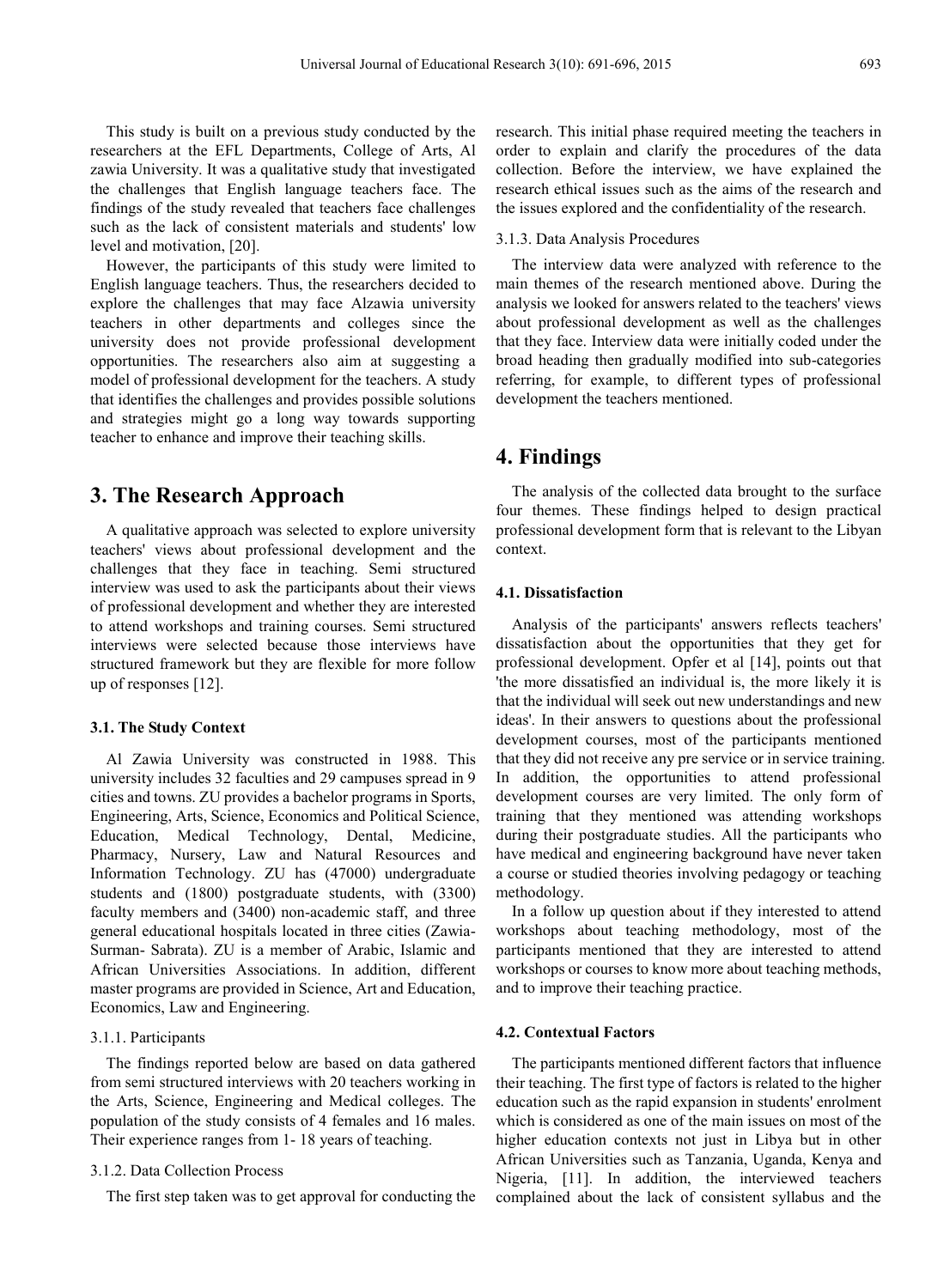This study is built on a previous study conducted by the researchers at the EFL Departments, College of Arts, Al zawia University. It was a qualitative study that investigated the challenges that English language teachers face. The findings of the study revealed that teachers face challenges such as the lack of consistent materials and students' low level and motivation, [20].

However, the participants of this study were limited to English language teachers. Thus, the researchers decided to explore the challenges that may face Alzawia university teachers in other departments and colleges since the university does not provide professional development opportunities. The researchers also aim at suggesting a model of professional development for the teachers. A study that identifies the challenges and provides possible solutions and strategies might go a long way towards supporting teacher to enhance and improve their teaching skills.

## **3. The Research Approach**

A qualitative approach was selected to explore university teachers' views about professional development and the challenges that they face in teaching. Semi structured interview was used to ask the participants about their views of professional development and whether they are interested to attend workshops and training courses. Semi structured interviews were selected because those interviews have structured framework but they are flexible for more follow up of responses [12].

### **3.1. The Study Context**

Al Zawia University was constructed in 1988. This university includes 32 faculties and 29 campuses spread in 9 cities and towns. ZU provides a bachelor programs in Sports, Engineering, Arts, Science, Economics and Political Science, Education, Medical Technology, Dental, Medicine, Pharmacy, Nursery, Law and Natural Resources and Information Technology. ZU has (47000) undergraduate students and (1800) postgraduate students, with (3300) faculty members and (3400) non-academic staff, and three general educational hospitals located in three cities (Zawia-Surman- Sabrata). ZU is a member of Arabic, Islamic and African Universities Associations. In addition, different master programs are provided in Science, Art and Education, Economics, Law and Engineering.

#### 3.1.1. Participants

The findings reported below are based on data gathered from semi structured interviews with 20 teachers working in the Arts, Science, Engineering and Medical colleges. The population of the study consists of 4 females and 16 males. Their experience ranges from 1- 18 years of teaching.

## 3.1.2. Data Collection Process

The first step taken was to get approval for conducting the

research. This initial phase required meeting the teachers in order to explain and clarify the procedures of the data collection. Before the interview, we have explained the research ethical issues such as the aims of the research and the issues explored and the confidentiality of the research.

### 3.1.3. Data Analysis Procedures

The interview data were analyzed with reference to the main themes of the research mentioned above. During the analysis we looked for answers related to the teachers' views about professional development as well as the challenges that they face. Interview data were initially coded under the broad heading then gradually modified into sub-categories referring, for example, to different types of professional development the teachers mentioned.

## **4. Findings**

The analysis of the collected data brought to the surface four themes. These findings helped to design practical professional development form that is relevant to the Libyan context.

## **4.1. Dissatisfaction**

Analysis of the participants' answers reflects teachers' dissatisfaction about the opportunities that they get for professional development. Opfer et al [14], points out that 'the more dissatisfied an individual is, the more likely it is that the individual will seek out new understandings and new ideas'. In their answers to questions about the professional development courses, most of the participants mentioned that they did not receive any pre service or in service training. In addition, the opportunities to attend professional development courses are very limited. The only form of training that they mentioned was attending workshops during their postgraduate studies. All the participants who have medical and engineering background have never taken a course or studied theories involving pedagogy or teaching methodology.

In a follow up question about if they interested to attend workshops about teaching methodology, most of the participants mentioned that they are interested to attend workshops or courses to know more about teaching methods, and to improve their teaching practice.

## **4.2. Contextual Factors**

The participants mentioned different factors that influence their teaching. The first type of factors is related to the higher education such as the rapid expansion in students' enrolment which is considered as one of the main issues on most of the higher education contexts not just in Libya but in other African Universities such as Tanzania, Uganda, Kenya and Nigeria, [11]. In addition, the interviewed teachers complained about the lack of consistent syllabus and the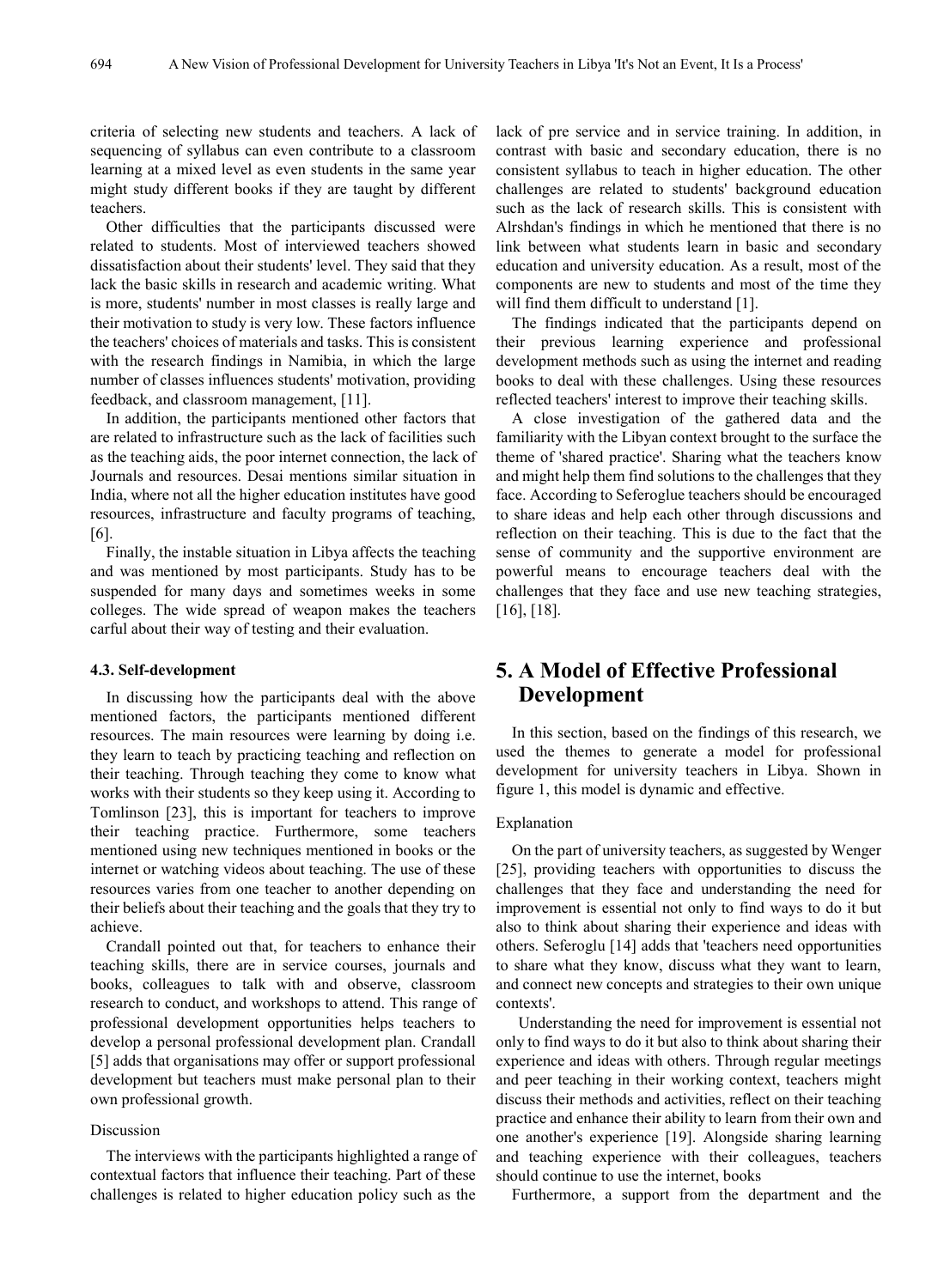criteria of selecting new students and teachers. A lack of sequencing of syllabus can even contribute to a classroom learning at a mixed level as even students in the same year might study different books if they are taught by different teachers.

Other difficulties that the participants discussed were related to students. Most of interviewed teachers showed dissatisfaction about their students' level. They said that they lack the basic skills in research and academic writing. What is more, students' number in most classes is really large and their motivation to study is very low. These factors influence the teachers' choices of materials and tasks. This is consistent with the research findings in Namibia, in which the large number of classes influences students' motivation, providing feedback, and classroom management, [11].

In addition, the participants mentioned other factors that are related to infrastructure such as the lack of facilities such as the teaching aids, the poor internet connection, the lack of Journals and resources. Desai mentions similar situation in India, where not all the higher education institutes have good resources, infrastructure and faculty programs of teaching, [6].

Finally, the instable situation in Libya affects the teaching and was mentioned by most participants. Study has to be suspended for many days and sometimes weeks in some colleges. The wide spread of weapon makes the teachers carful about their way of testing and their evaluation.

#### **4.3. Self-development**

In discussing how the participants deal with the above mentioned factors, the participants mentioned different resources. The main resources were learning by doing i.e. they learn to teach by practicing teaching and reflection on their teaching. Through teaching they come to know what works with their students so they keep using it. According to Tomlinson [23], this is important for teachers to improve their teaching practice. Furthermore, some teachers mentioned using new techniques mentioned in books or the internet or watching videos about teaching. The use of these resources varies from one teacher to another depending on their beliefs about their teaching and the goals that they try to achieve.

Crandall pointed out that, for teachers to enhance their teaching skills, there are in service courses, journals and books, colleagues to talk with and observe, classroom research to conduct, and workshops to attend. This range of professional development opportunities helps teachers to develop a personal professional development plan. Crandall [5] adds that organisations may offer or support professional development but teachers must make personal plan to their own professional growth.

## Discussion

The interviews with the participants highlighted a range of contextual factors that influence their teaching. Part of these challenges is related to higher education policy such as the

lack of pre service and in service training. In addition, in contrast with basic and secondary education, there is no consistent syllabus to teach in higher education. The other challenges are related to students' background education such as the lack of research skills. This is consistent with Alrshdan's findings in which he mentioned that there is no link between what students learn in basic and secondary education and university education. As a result, most of the components are new to students and most of the time they will find them difficult to understand [1].

The findings indicated that the participants depend on their previous learning experience and professional development methods such as using the internet and reading books to deal with these challenges. Using these resources reflected teachers' interest to improve their teaching skills.

A close investigation of the gathered data and the familiarity with the Libyan context brought to the surface the theme of 'shared practice'. Sharing what the teachers know and might help them find solutions to the challenges that they face. According to Seferoglue teachers should be encouraged to share ideas and help each other through discussions and reflection on their teaching. This is due to the fact that the sense of community and the supportive environment are powerful means to encourage teachers deal with the challenges that they face and use new teaching strategies, [16], [18].

## **5. A Model of Effective Professional Development**

In this section, based on the findings of this research, we used the themes to generate a model for professional development for university teachers in Libya. Shown in figure 1, this model is dynamic and effective.

#### Explanation

On the part of university teachers, as suggested by Wenger [25], providing teachers with opportunities to discuss the challenges that they face and understanding the need for improvement is essential not only to find ways to do it but also to think about sharing their experience and ideas with others. Seferoglu [14] adds that 'teachers need opportunities to share what they know, discuss what they want to learn, and connect new concepts and strategies to their own unique contexts'.

Understanding the need for improvement is essential not only to find ways to do it but also to think about sharing their experience and ideas with others. Through regular meetings and peer teaching in their working context, teachers might discuss their methods and activities, reflect on their teaching practice and enhance their ability to learn from their own and one another's experience [19]. Alongside sharing learning and teaching experience with their colleagues, teachers should continue to use the internet, books

Furthermore, a support from the department and the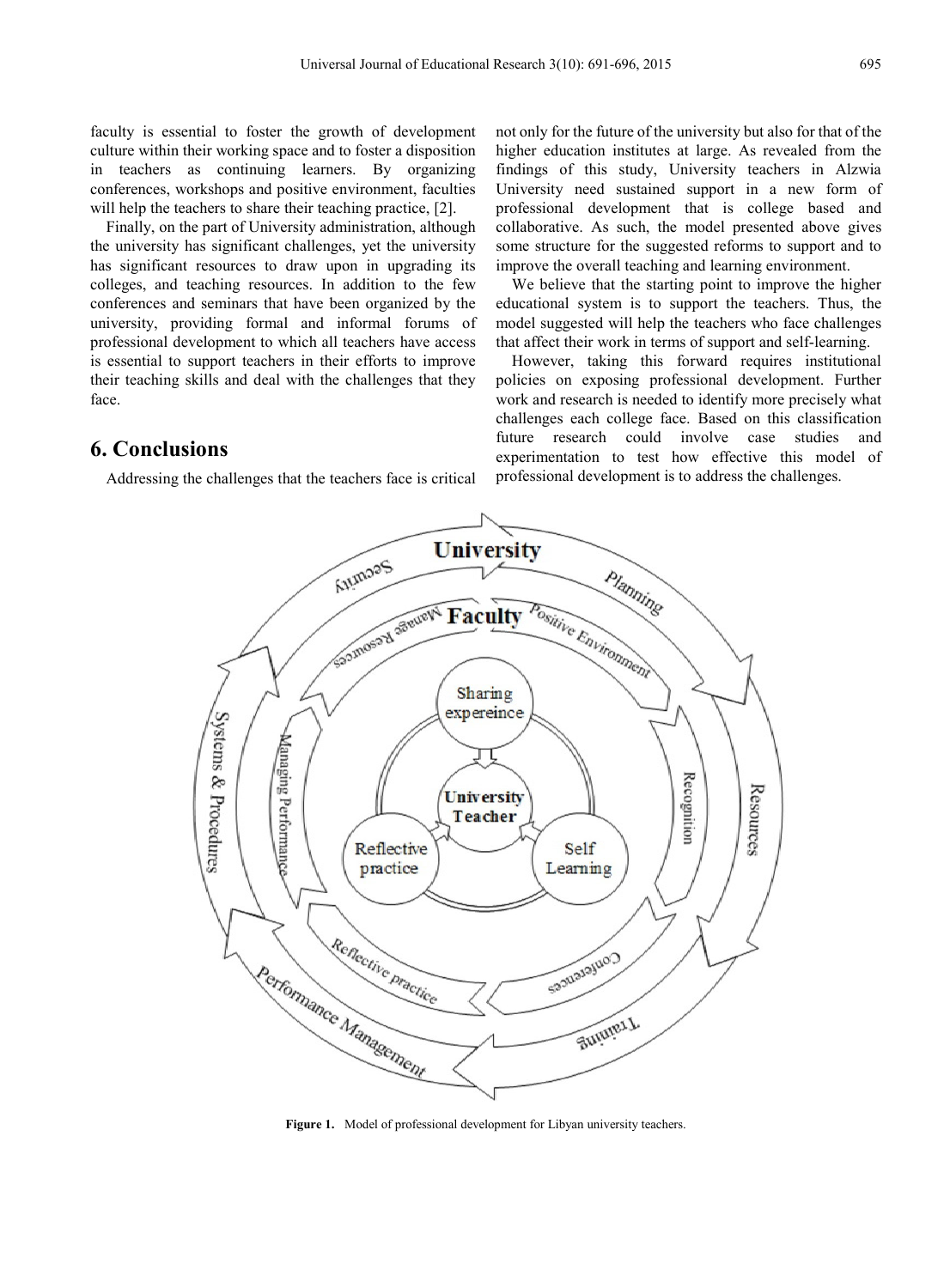faculty is essential to foster the growth of development culture within their working space and to foster a disposition in teachers as continuing learners. By organizing conferences, workshops and positive environment, faculties will help the teachers to share their teaching practice, [2].

Finally, on the part of University administration, although the university has significant challenges, yet the university has significant resources to draw upon in upgrading its colleges, and teaching resources. In addition to the few conferences and seminars that have been organized by the university, providing formal and informal forums of professional development to which all teachers have access is essential to support teachers in their efforts to improve their teaching skills and deal with the challenges that they face.

**6. Conclusions**

Addressing the challenges that the teachers face is critical

not only for the future of the university but also for that of the higher education institutes at large. As revealed from the findings of this study, University teachers in Alzwia University need sustained support in a new form of professional development that is college based and collaborative. As such, the model presented above gives some structure for the suggested reforms to support and to improve the overall teaching and learning environment.

We believe that the starting point to improve the higher educational system is to support the teachers. Thus, the model suggested will help the teachers who face challenges that affect their work in terms of support and self-learning.

However, taking this forward requires institutional policies on exposing professional development. Further work and research is needed to identify more precisely what challenges each college face. Based on this classification future research could involve case studies and experimentation to test how effective this model of professional development is to address the challenges.



Figure 1. Model of professional development for Libyan university teachers.